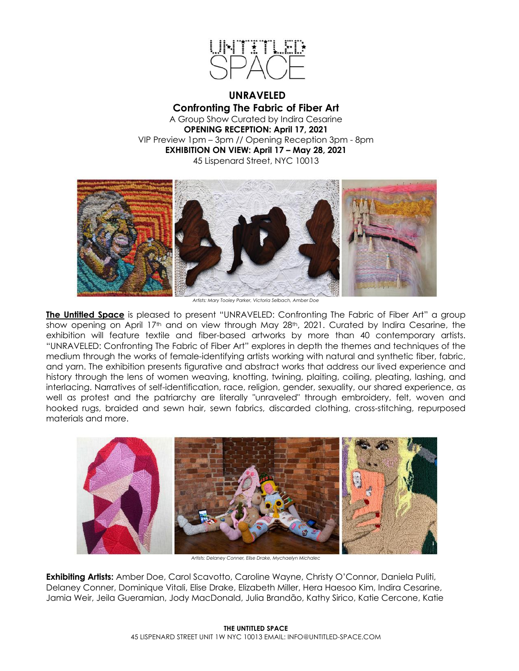

**UNRAVELED Confronting The Fabric of Fiber Art** A Group Show Curated by Indira Cesarine **OPENING RECEPTION: April 17, 2021** VIP Preview 1pm – 3pm // Opening Reception 3pm - 8pm **EXHIBITION ON VIEW: April 17 – May 28, 2021** 45 Lispenard Street, NYC 10013



*Artists: Mary Tooley Parker, Victoria Selbach, Amber Doe*

**The Untitled Space** is pleased to present "UNRAVELED: Confronting The Fabric of Fiber Art" a group show opening on April 17<sup>th</sup> and on view through May 28<sup>th</sup>, 2021. Curated by Indira Cesarine, the exhibition will feature textile and fiber-based artworks by more than 40 contemporary artists. "UNRAVELED: Confronting The Fabric of Fiber Art" explores in depth the themes and techniques of the medium through the works of female-identifying artists working with natural and synthetic fiber, fabric, and yarn. The exhibition presents figurative and abstract works that address our lived experience and history through the lens of women weaving, knotting, twining, plaiting, coiling, pleating, lashing, and interlacing. Narratives of self-identification, race, religion, gender, sexuality, our shared experience, as well as protest and the patriarchy are literally "unraveled" through embroidery, felt, woven and hooked rugs, braided and sewn hair, sewn fabrics, discarded clothing, cross-stitching, repurposed materials and more.



*Artists: Delaney Conner, Elise Drake, Mychaelyn Michalec*

**Exhibiting Artists:** Amber Doe, Carol Scavotto, Caroline Wayne, Christy O'Connor, Daniela Puliti, Delaney Conner, Dominique Vitali, Elise Drake, Elizabeth Miller, Hera Haesoo Kim, Indira Cesarine, Jamia Weir, Jeila Gueramian, Jody MacDonald, Julia Brandão, Kathy Sirico, Katie Cercone, Katie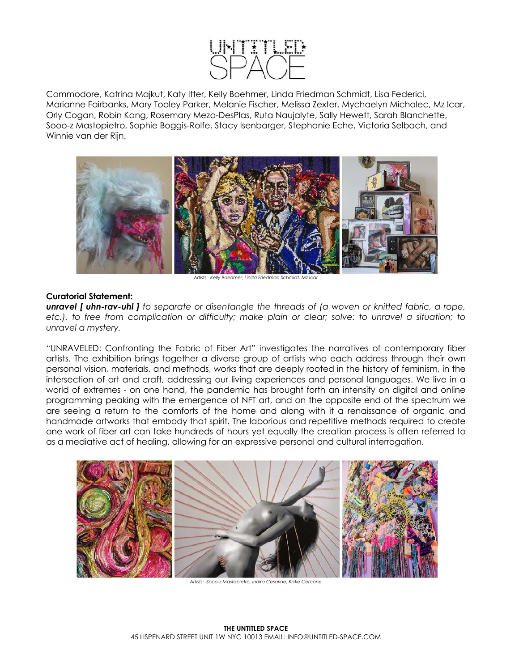

Commodore, Katrina Majkut, Katy Itter, Kelly Boehmer, Linda Friedman Schmidt, Lisa Federici, Marianne Fairbanks, Mary Tooley Parker, Melanie Fischer, Melissa Zexter, Mychaelyn Michalec, Mz Icar, Orly Cogan, Robin Kang, Rosemary Meza-DesPlas, Ruta Naujalyte, Sally Hewett, Sarah Blanchette, Sooo-z Mastopietro, Sophie Boggis-Rolfe, Stacy Isenbarger, Stephanie Eche, Victoria Selbach, and Winnie van der Rijn.



*Artists: Kelly Boehmer, Linda Friedman Schmidt, Mz Icar*

## **Curatorial Statement:**

*unravel [ uhn-rav-uhl ] to separate or disentangle the threads of (a woven or knitted fabric, a rope, etc.). to free from complication or difficulty; make plain or clear; solve: to unravel a situation; to unravel a mystery.*

"UNRAVELED: Confronting the Fabric of Fiber Art" investigates the narratives of contemporary fiber artists. The exhibition brings together a diverse group of artists who each address through their own personal vision, materials, and methods, works that are deeply rooted in the history of feminism, in the intersection of art and craft, addressing our living experiences and personal languages. We live in a world of extremes - on one hand, the pandemic has brought forth an intensity on digital and online programming peaking with the emergence of NFT art, and on the opposite end of the spectrum we are seeing a return to the comforts of the home and along with it a renaissance of organic and handmade artworks that embody that spirit. The laborious and repetitive methods required to create one work of fiber art can take hundreds of hours yet equally the creation process is often referred to as a mediative act of healing, allowing for an expressive personal and cultural interrogation.



*Artists: Sooo-z Mastopietro, Indira Cesarine, Katie Cercone*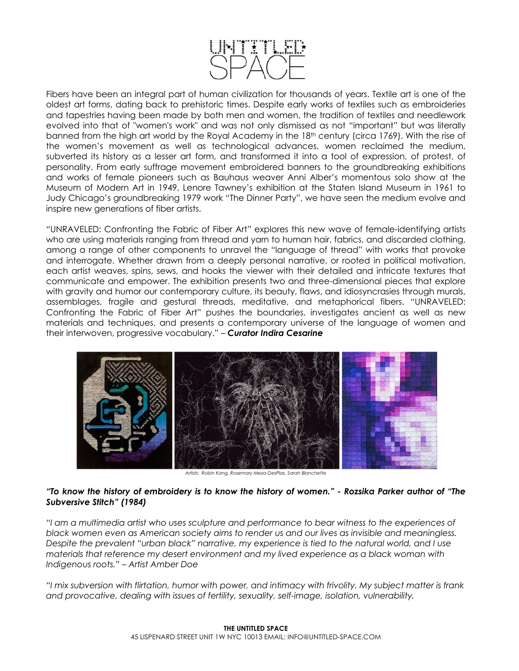

Fibers have been an integral part of human civilization for thousands of years. Textile art is one of the oldest art forms, dating back to prehistoric times. Despite early works of textiles such as embroideries and tapestries having been made by both men and women, the tradition of textiles and needlework evolved into that of "women's work" and was not only dismissed as not "important" but was literally banned from the high art world by the Royal Academy in the 18th century (circa 1769). With the rise of the women's movement as well as technological advances, women reclaimed the medium, subverted its history as a lesser art form, and transformed it into a tool of expression, of protest, of personality. From early suffrage movement embroidered banners to the groundbreaking exhibitions and works of female pioneers such as Bauhaus weaver Anni Alber's momentous solo show at the Museum of Modern Art in 1949, Lenore Tawney's exhibition at the Staten Island Museum in 1961 to Judy Chicago's groundbreaking 1979 work "The Dinner Party", we have seen the medium evolve and inspire new generations of fiber artists.

"UNRAVELED: Confronting the Fabric of Fiber Art" explores this new wave of female-identifying artists who are using materials ranging from thread and yarn to human hair, fabrics, and discarded clothing, among a range of other components to unravel the "language of thread" with works that provoke and interrogate. Whether drawn from a deeply personal narrative, or rooted in political motivation, each artist weaves, spins, sews, and hooks the viewer with their detailed and intricate textures that communicate and empower. The exhibition presents two and three-dimensional pieces that explore with gravity and humor our contemporary culture, its beauty, flaws, and idiosyncrasies through murals, assemblages, fragile and gestural threads, meditative, and metaphorical fibers. "UNRAVELED: Confronting the Fabric of Fiber Art" pushes the boundaries, investigates ancient as well as new materials and techniques, and presents a contemporary universe of the language of women and their interwoven, progressive vocabulary." – *Curator Indira Cesarine*



*Artists: Robin Kang, Rosemary Meza-DesPlas, Sarah Blanchette*

## *"To know the history of embroidery is to know the history of women." - Rozsika Parker author of "The Subversive Stitch" (1984)*

*"I am a multimedia artist who uses sculpture and performance to bear witness to the experiences of black women even as American society aims to render us and our lives as invisible and meaningless. Despite the prevalent "urban black" narrative, my experience is tied to the natural world, and I use materials that reference my desert environment and my lived experience as a black woman with Indigenous roots." – Artist Amber Doe*

*"I mix subversion with flirtation, humor with power, and intimacy with frivolity. My subject matter is frank and provocative, dealing with issues of fertility, sexuality, self-image, isolation, vulnerability,*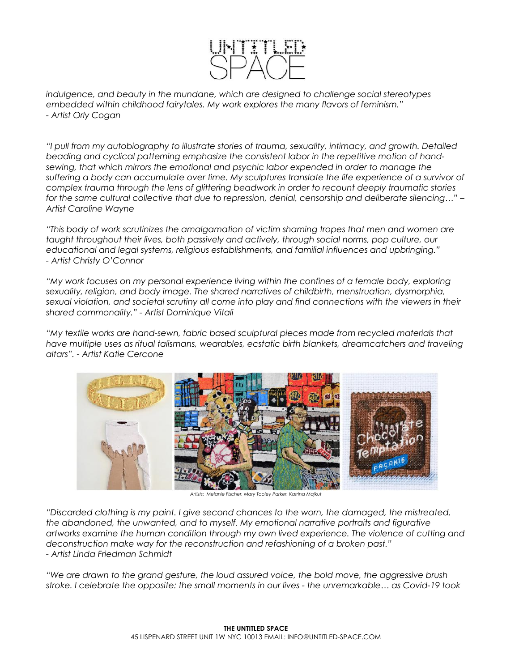

*indulgence, and beauty in the mundane, which are designed to challenge social stereotypes embedded within childhood fairytales. My work explores the many flavors of feminism." - Artist Orly Cogan*

*"I pull from my autobiography to illustrate stories of trauma, sexuality, intimacy, and growth. Detailed beading and cyclical patterning emphasize the consistent labor in the repetitive motion of handsewing, that which mirrors the emotional and psychic labor expended in order to manage the suffering a body can accumulate over time. My sculptures translate the life experience of a survivor of complex trauma through the lens of glittering beadwork in order to recount deeply traumatic stories for the same cultural collective that due to repression, denial, censorship and deliberate silencing…" – Artist Caroline Wayne* 

*"This body of work scrutinizes the amalgamation of victim shaming tropes that men and women are taught throughout their lives, both passively and actively, through social norms, pop culture, our educational and legal systems, religious establishments, and familial influences and upbringing." - Artist Christy O'Connor*

*"My work focuses on my personal experience living within the confines of a female body, exploring sexuality, religion, and body image. The shared narratives of childbirth, menstruation, dysmorphia, sexual violation, and societal scrutiny all come into play and find connections with the viewers in their shared commonality." - Artist Dominique Vitali*

*"My textile works are hand-sewn, fabric based sculptural pieces made from recycled materials that have multiple uses as ritual talismans, wearables, ecstatic birth blankets, dreamcatchers and traveling altars". - Artist Katie Cercone*



*Artists: Melanie Fischer, Mary Tooley Parker, Katrina Majkut*

*"Discarded clothing is my paint. I give second chances to the worn, the damaged, the mistreated, the abandoned, the unwanted, and to myself. My emotional narrative portraits and figurative artworks examine the human condition through my own lived experience. The violence of cutting and deconstruction make way for the reconstruction and refashioning of a broken past." - Artist Linda Friedman Schmidt*

*"We are drawn to the grand gesture, the loud assured voice, the bold move, the aggressive brush stroke. I celebrate the opposite: the small moments in our lives - the unremarkable… as Covid-19 took*